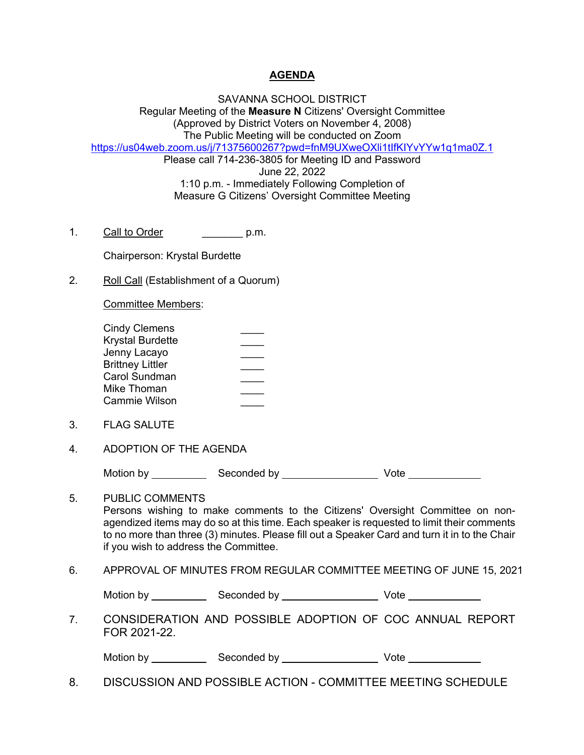## **AGENDA**

SAVANNA SCHOOL DISTRICT Regular Meeting of the **Measure N** Citizens' Oversight Committee (Approved by District Voters on November 4, 2008) The Public Meeting will be conducted on Zoom https://us04web.zoom.us/j/71375600267?pwd=fnM9UXweOXli1tIfKIYvYYw1q1ma0Z.1 Please call 714-236-3805 for Meeting ID and Password June 22, 2022 1:10 p.m. - Immediately Following Completion of Measure G Citizens' Oversight Committee Meeting

1. Call to Order **call of Call to Order** call p.m.

Chairperson: Krystal Burdette

2. Roll Call (Establishment of a Quorum)

Committee Members:

| <b>Cindy Clemens</b>    |  |
|-------------------------|--|
| Krystal Burdette        |  |
| Jenny Lacayo            |  |
| <b>Brittney Littler</b> |  |
| Carol Sundman           |  |
| Mike Thoman             |  |
| Cammie Wilson           |  |

- 3. FLAG SALUTE
- 4. ADOPTION OF THE AGENDA

Motion by Seconded by Vote

5. PUBLIC COMMENTS Persons wishing to make comments to the Citizens' Oversight Committee on nonagendized items may do so at this time. Each speaker is requested to limit their comments to no more than three (3) minutes. Please fill out a Speaker Card and turn it in to the Chair if you wish to address the Committee.

6. APPROVAL OF MINUTES FROM REGULAR COMMITTEE MEETING OF JUNE 15, 2021

Motion by Seconded by Seconded by Vote

7. CONSIDERATION AND POSSIBLE ADOPTION OF COC ANNUAL REPORT FOR 2021-22.

| Motion by | Seconded by | √ote |
|-----------|-------------|------|
|-----------|-------------|------|

8. DISCUSSION AND POSSIBLE ACTION - COMMITTEE MEETING SCHEDULE